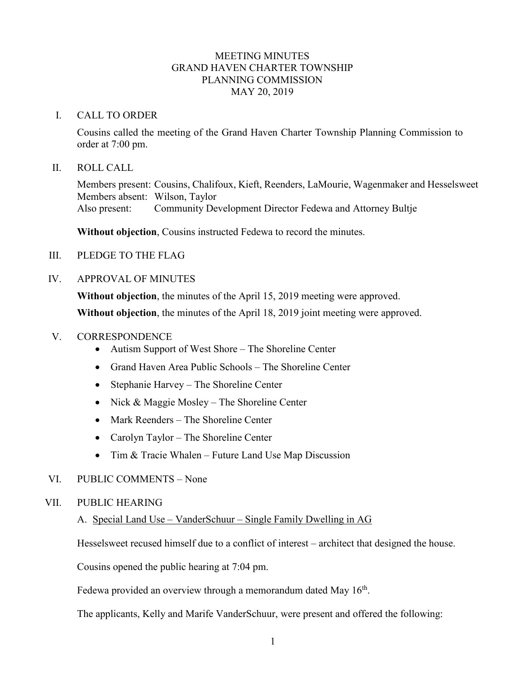## MEETING MINUTES GRAND HAVEN CHARTER TOWNSHIP PLANNING COMMISSION MAY 20, 2019

#### I. CALL TO ORDER

Cousins called the meeting of the Grand Haven Charter Township Planning Commission to order at 7:00 pm.

#### II. ROLL CALL

Members present: Cousins, Chalifoux, Kieft, Reenders, LaMourie, Wagenmaker and Hesselsweet Members absent: Wilson, Taylor Also present: Community Development Director Fedewa and Attorney Bultje

**Without objection**, Cousins instructed Fedewa to record the minutes.

- III. PLEDGE TO THE FLAG
- IV. APPROVAL OF MINUTES

**Without objection**, the minutes of the April 15, 2019 meeting were approved.

**Without objection**, the minutes of the April 18, 2019 joint meeting were approved.

## V. CORRESPONDENCE

- Autism Support of West Shore The Shoreline Center
- Grand Haven Area Public Schools The Shoreline Center
- Stephanie Harvey The Shoreline Center
- Nick & Maggie Mosley The Shoreline Center
- Mark Reenders The Shoreline Center
- Carolyn Taylor The Shoreline Center
- Tim & Tracie Whalen Future Land Use Map Discussion

#### VI. PUBLIC COMMENTS – None

#### VII. PUBLIC HEARING

#### A. Special Land Use – VanderSchuur – Single Family Dwelling in AG

Hesselsweet recused himself due to a conflict of interest – architect that designed the house.

Cousins opened the public hearing at 7:04 pm.

Fedewa provided an overview through a memorandum dated May  $16<sup>th</sup>$ .

The applicants, Kelly and Marife VanderSchuur, were present and offered the following: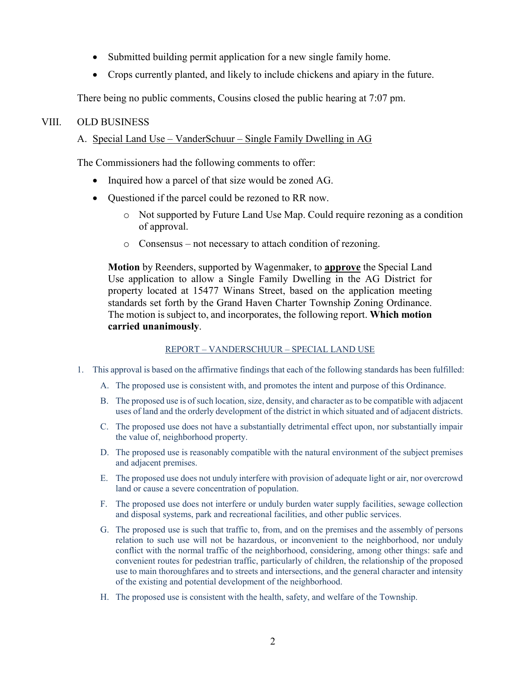- Submitted building permit application for a new single family home.
- Crops currently planted, and likely to include chickens and apiary in the future.

There being no public comments, Cousins closed the public hearing at 7:07 pm.

## VIII. OLD BUSINESS

# A. Special Land Use – VanderSchuur – Single Family Dwelling in AG

The Commissioners had the following comments to offer:

- Inquired how a parcel of that size would be zoned AG.
- Questioned if the parcel could be rezoned to RR now.
	- o Not supported by Future Land Use Map. Could require rezoning as a condition of approval.
	- o Consensus not necessary to attach condition of rezoning.

**Motion** by Reenders, supported by Wagenmaker, to **approve** the Special Land Use application to allow a Single Family Dwelling in the AG District for property located at 15477 Winans Street, based on the application meeting standards set forth by the Grand Haven Charter Township Zoning Ordinance. The motion is subject to, and incorporates, the following report. **Which motion carried unanimously**.

#### REPORT – VANDERSCHUUR – SPECIAL LAND USE

- 1. This approval is based on the affirmative findings that each of the following standards has been fulfilled:
	- A. The proposed use is consistent with, and promotes the intent and purpose of this Ordinance.
	- B. The proposed use is of such location, size, density, and character as to be compatible with adjacent uses of land and the orderly development of the district in which situated and of adjacent districts.
	- C. The proposed use does not have a substantially detrimental effect upon, nor substantially impair the value of, neighborhood property.
	- D. The proposed use is reasonably compatible with the natural environment of the subject premises and adjacent premises.
	- E. The proposed use does not unduly interfere with provision of adequate light or air, nor overcrowd land or cause a severe concentration of population.
	- F. The proposed use does not interfere or unduly burden water supply facilities, sewage collection and disposal systems, park and recreational facilities, and other public services.
	- G. The proposed use is such that traffic to, from, and on the premises and the assembly of persons relation to such use will not be hazardous, or inconvenient to the neighborhood, nor unduly conflict with the normal traffic of the neighborhood, considering, among other things: safe and convenient routes for pedestrian traffic, particularly of children, the relationship of the proposed use to main thoroughfares and to streets and intersections, and the general character and intensity of the existing and potential development of the neighborhood.
	- H. The proposed use is consistent with the health, safety, and welfare of the Township.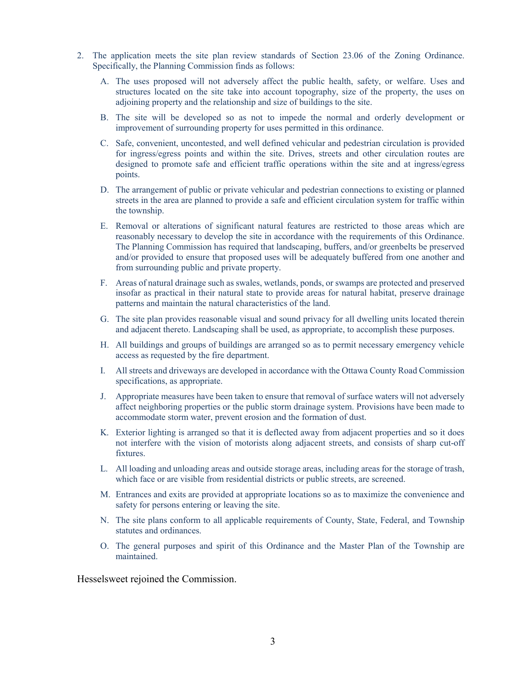- 2. The application meets the site plan review standards of Section 23.06 of the Zoning Ordinance. Specifically, the Planning Commission finds as follows:
	- A. The uses proposed will not adversely affect the public health, safety, or welfare. Uses and structures located on the site take into account topography, size of the property, the uses on adjoining property and the relationship and size of buildings to the site.
	- B. The site will be developed so as not to impede the normal and orderly development or improvement of surrounding property for uses permitted in this ordinance.
	- C. Safe, convenient, uncontested, and well defined vehicular and pedestrian circulation is provided for ingress/egress points and within the site. Drives, streets and other circulation routes are designed to promote safe and efficient traffic operations within the site and at ingress/egress points.
	- D. The arrangement of public or private vehicular and pedestrian connections to existing or planned streets in the area are planned to provide a safe and efficient circulation system for traffic within the township.
	- E. Removal or alterations of significant natural features are restricted to those areas which are reasonably necessary to develop the site in accordance with the requirements of this Ordinance. The Planning Commission has required that landscaping, buffers, and/or greenbelts be preserved and/or provided to ensure that proposed uses will be adequately buffered from one another and from surrounding public and private property.
	- F. Areas of natural drainage such as swales, wetlands, ponds, or swamps are protected and preserved insofar as practical in their natural state to provide areas for natural habitat, preserve drainage patterns and maintain the natural characteristics of the land.
	- G. The site plan provides reasonable visual and sound privacy for all dwelling units located therein and adjacent thereto. Landscaping shall be used, as appropriate, to accomplish these purposes.
	- H. All buildings and groups of buildings are arranged so as to permit necessary emergency vehicle access as requested by the fire department.
	- I. All streets and driveways are developed in accordance with the Ottawa County Road Commission specifications, as appropriate.
	- J. Appropriate measures have been taken to ensure that removal of surface waters will not adversely affect neighboring properties or the public storm drainage system. Provisions have been made to accommodate storm water, prevent erosion and the formation of dust.
	- K. Exterior lighting is arranged so that it is deflected away from adjacent properties and so it does not interfere with the vision of motorists along adjacent streets, and consists of sharp cut-off fixtures.
	- L. All loading and unloading areas and outside storage areas, including areas for the storage of trash, which face or are visible from residential districts or public streets, are screened.
	- M. Entrances and exits are provided at appropriate locations so as to maximize the convenience and safety for persons entering or leaving the site.
	- N. The site plans conform to all applicable requirements of County, State, Federal, and Township statutes and ordinances.
	- O. The general purposes and spirit of this Ordinance and the Master Plan of the Township are maintained.

Hesselsweet rejoined the Commission.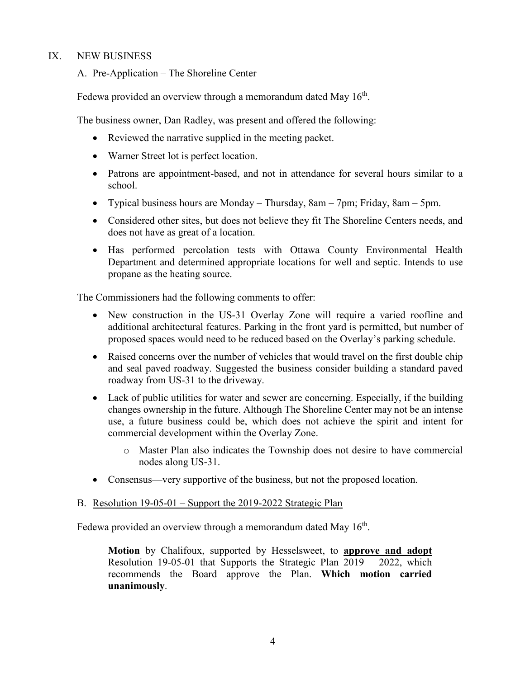# IX. NEW BUSINESS

## A. Pre-Application – The Shoreline Center

Fedewa provided an overview through a memorandum dated May  $16<sup>th</sup>$ .

The business owner, Dan Radley, was present and offered the following:

- Reviewed the narrative supplied in the meeting packet.
- Warner Street lot is perfect location.
- Patrons are appointment-based, and not in attendance for several hours similar to a school.
- Typical business hours are Monday Thursday, 8am 7pm; Friday, 8am 5pm.
- Considered other sites, but does not believe they fit The Shoreline Centers needs, and does not have as great of a location.
- Has performed percolation tests with Ottawa County Environmental Health Department and determined appropriate locations for well and septic. Intends to use propane as the heating source.

The Commissioners had the following comments to offer:

- New construction in the US-31 Overlay Zone will require a varied roofline and additional architectural features. Parking in the front yard is permitted, but number of proposed spaces would need to be reduced based on the Overlay's parking schedule.
- Raised concerns over the number of vehicles that would travel on the first double chip and seal paved roadway. Suggested the business consider building a standard paved roadway from US-31 to the driveway.
- Lack of public utilities for water and sewer are concerning. Especially, if the building changes ownership in the future. Although The Shoreline Center may not be an intense use, a future business could be, which does not achieve the spirit and intent for commercial development within the Overlay Zone.
	- o Master Plan also indicates the Township does not desire to have commercial nodes along US-31.
- Consensus—very supportive of the business, but not the proposed location.

#### B. Resolution 19-05-01 – Support the 2019-2022 Strategic Plan

Fedewa provided an overview through a memorandum dated May  $16<sup>th</sup>$ .

**Motion** by Chalifoux, supported by Hesselsweet, to **approve and adopt** Resolution 19-05-01 that Supports the Strategic Plan 2019 – 2022, which recommends the Board approve the Plan. **Which motion carried unanimously**.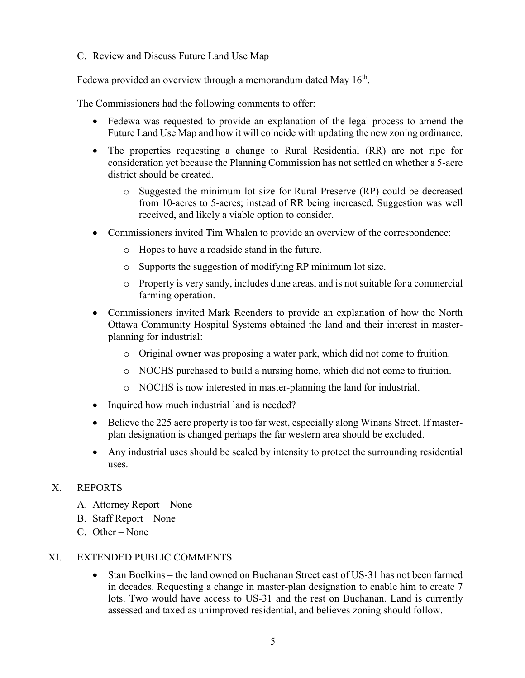# C. Review and Discuss Future Land Use Map

Fedewa provided an overview through a memorandum dated May  $16<sup>th</sup>$ .

The Commissioners had the following comments to offer:

- Fedewa was requested to provide an explanation of the legal process to amend the Future Land Use Map and how it will coincide with updating the new zoning ordinance.
- The properties requesting a change to Rural Residential (RR) are not ripe for consideration yet because the Planning Commission has not settled on whether a 5-acre district should be created.
	- o Suggested the minimum lot size for Rural Preserve (RP) could be decreased from 10-acres to 5-acres; instead of RR being increased. Suggestion was well received, and likely a viable option to consider.
- Commissioners invited Tim Whalen to provide an overview of the correspondence:
	- o Hopes to have a roadside stand in the future.
	- o Supports the suggestion of modifying RP minimum lot size.
	- o Property is very sandy, includes dune areas, and is not suitable for a commercial farming operation.
- Commissioners invited Mark Reenders to provide an explanation of how the North Ottawa Community Hospital Systems obtained the land and their interest in masterplanning for industrial:
	- o Original owner was proposing a water park, which did not come to fruition.
	- o NOCHS purchased to build a nursing home, which did not come to fruition.
	- o NOCHS is now interested in master-planning the land for industrial.
- Inquired how much industrial land is needed?
- Believe the 225 acre property is too far west, especially along Winans Street. If masterplan designation is changed perhaps the far western area should be excluded.
- Any industrial uses should be scaled by intensity to protect the surrounding residential uses.

# X. REPORTS

- A. Attorney Report None
- B. Staff Report None
- C. Other None

#### XI. EXTENDED PUBLIC COMMENTS

• Stan Boelkins – the land owned on Buchanan Street east of US-31 has not been farmed in decades. Requesting a change in master-plan designation to enable him to create 7 lots. Two would have access to US-31 and the rest on Buchanan. Land is currently assessed and taxed as unimproved residential, and believes zoning should follow.